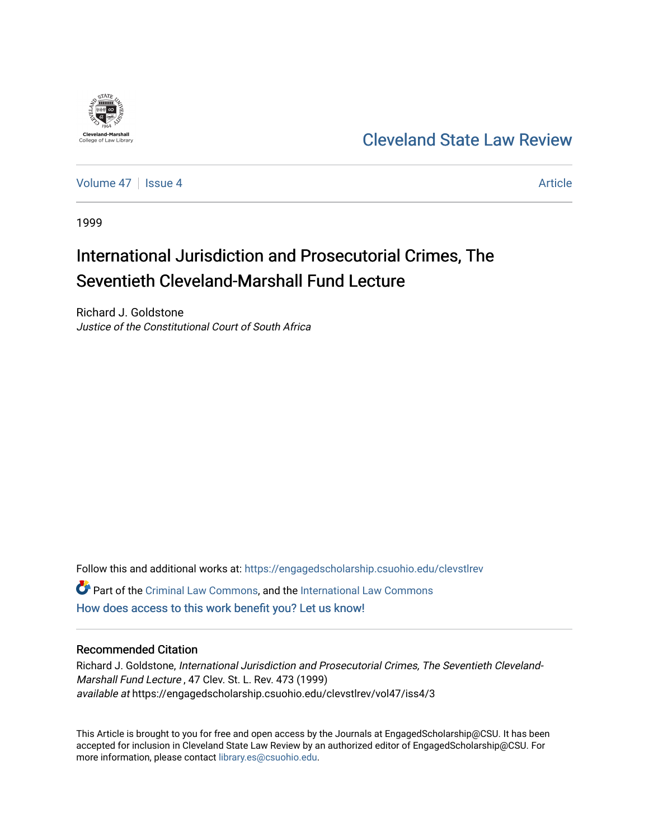

[Cleveland State Law Review](https://engagedscholarship.csuohio.edu/clevstlrev) 

[Volume 47](https://engagedscholarship.csuohio.edu/clevstlrev/vol47) | [Issue 4](https://engagedscholarship.csuohio.edu/clevstlrev/vol47/iss4) Article

1999

# International Jurisdiction and Prosecutorial Crimes, The Seventieth Cleveland-Marshall Fund Lecture

Richard J. Goldstone Justice of the Constitutional Court of South Africa

Follow this and additional works at: [https://engagedscholarship.csuohio.edu/clevstlrev](https://engagedscholarship.csuohio.edu/clevstlrev?utm_source=engagedscholarship.csuohio.edu%2Fclevstlrev%2Fvol47%2Fiss4%2F3&utm_medium=PDF&utm_campaign=PDFCoverPages)  $\bullet$  Part of the [Criminal Law Commons,](http://network.bepress.com/hgg/discipline/912?utm_source=engagedscholarship.csuohio.edu%2Fclevstlrev%2Fvol47%2Fiss4%2F3&utm_medium=PDF&utm_campaign=PDFCoverPages) and the International Law Commons [How does access to this work benefit you? Let us know!](http://library.csuohio.edu/engaged/)

## Recommended Citation

Richard J. Goldstone, International Jurisdiction and Prosecutorial Crimes, The Seventieth Cleveland-Marshall Fund Lecture , 47 Clev. St. L. Rev. 473 (1999) available at https://engagedscholarship.csuohio.edu/clevstlrev/vol47/iss4/3

This Article is brought to you for free and open access by the Journals at EngagedScholarship@CSU. It has been accepted for inclusion in Cleveland State Law Review by an authorized editor of EngagedScholarship@CSU. For more information, please contact [library.es@csuohio.edu](mailto:library.es@csuohio.edu).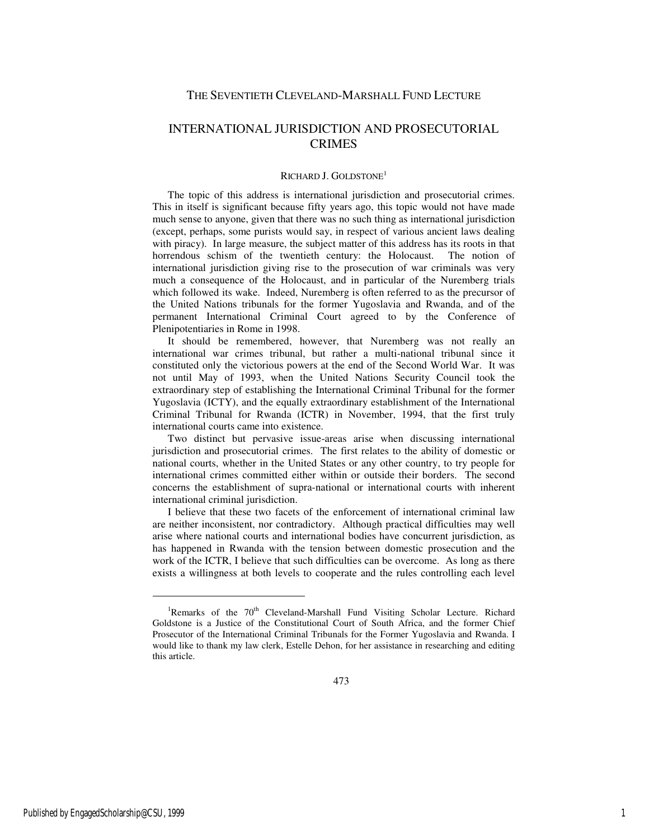## THE SEVENTIETH CLEVELAND-MARSHALL FUND LECTURE

## INTERNATIONAL JURISDICTION AND PROSECUTORIAL CRIMES

### RICHARD J. GOLDSTONE<sup>1</sup>

The topic of this address is international jurisdiction and prosecutorial crimes. This in itself is significant because fifty years ago, this topic would not have made much sense to anyone, given that there was no such thing as international jurisdiction (except, perhaps, some purists would say, in respect of various ancient laws dealing with piracy). In large measure, the subject matter of this address has its roots in that horrendous schism of the twentieth century: the Holocaust. The notion of international jurisdiction giving rise to the prosecution of war criminals was very much a consequence of the Holocaust, and in particular of the Nuremberg trials which followed its wake. Indeed, Nuremberg is often referred to as the precursor of the United Nations tribunals for the former Yugoslavia and Rwanda, and of the permanent International Criminal Court agreed to by the Conference of Plenipotentiaries in Rome in 1998.

It should be remembered, however, that Nuremberg was not really an international war crimes tribunal, but rather a multi-national tribunal since it constituted only the victorious powers at the end of the Second World War. It was not until May of 1993, when the United Nations Security Council took the extraordinary step of establishing the International Criminal Tribunal for the former Yugoslavia (ICTY), and the equally extraordinary establishment of the International Criminal Tribunal for Rwanda (ICTR) in November, 1994, that the first truly international courts came into existence.

Two distinct but pervasive issue-areas arise when discussing international jurisdiction and prosecutorial crimes. The first relates to the ability of domestic or national courts, whether in the United States or any other country, to try people for international crimes committed either within or outside their borders. The second concerns the establishment of supra-national or international courts with inherent international criminal jurisdiction.

I believe that these two facets of the enforcement of international criminal law are neither inconsistent, nor contradictory. Although practical difficulties may well arise where national courts and international bodies have concurrent jurisdiction, as has happened in Rwanda with the tension between domestic prosecution and the work of the ICTR, I believe that such difficulties can be overcome. As long as there exists a willingness at both levels to cooperate and the rules controlling each level

 $\overline{a}$ 

<sup>&</sup>lt;sup>1</sup>Remarks of the 70<sup>th</sup> Cleveland-Marshall Fund Visiting Scholar Lecture. Richard Goldstone is a Justice of the Constitutional Court of South Africa, and the former Chief Prosecutor of the International Criminal Tribunals for the Former Yugoslavia and Rwanda. I would like to thank my law clerk, Estelle Dehon, for her assistance in researching and editing this article.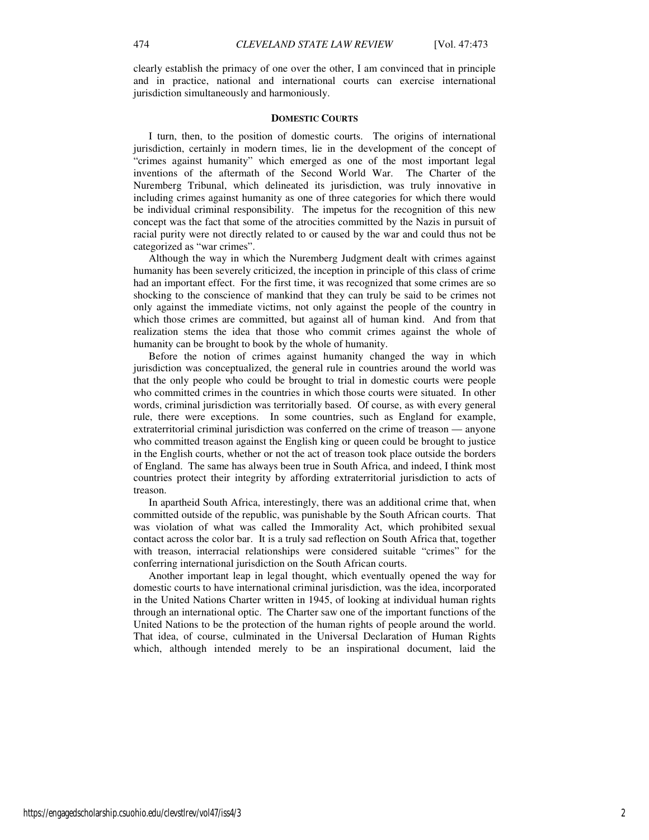clearly establish the primacy of one over the other, I am convinced that in principle and in practice, national and international courts can exercise international jurisdiction simultaneously and harmoniously.

### **DOMESTIC COURTS**

I turn, then, to the position of domestic courts. The origins of international jurisdiction, certainly in modern times, lie in the development of the concept of "crimes against humanity" which emerged as one of the most important legal inventions of the aftermath of the Second World War. The Charter of the Nuremberg Tribunal, which delineated its jurisdiction, was truly innovative in including crimes against humanity as one of three categories for which there would be individual criminal responsibility. The impetus for the recognition of this new concept was the fact that some of the atrocities committed by the Nazis in pursuit of racial purity were not directly related to or caused by the war and could thus not be categorized as "war crimes".

Although the way in which the Nuremberg Judgment dealt with crimes against humanity has been severely criticized, the inception in principle of this class of crime had an important effect. For the first time, it was recognized that some crimes are so shocking to the conscience of mankind that they can truly be said to be crimes not only against the immediate victims, not only against the people of the country in which those crimes are committed, but against all of human kind. And from that realization stems the idea that those who commit crimes against the whole of humanity can be brought to book by the whole of humanity.

Before the notion of crimes against humanity changed the way in which jurisdiction was conceptualized, the general rule in countries around the world was that the only people who could be brought to trial in domestic courts were people who committed crimes in the countries in which those courts were situated. In other words, criminal jurisdiction was territorially based. Of course, as with every general rule, there were exceptions. In some countries, such as England for example, extraterritorial criminal jurisdiction was conferred on the crime of treason — anyone who committed treason against the English king or queen could be brought to justice in the English courts, whether or not the act of treason took place outside the borders of England. The same has always been true in South Africa, and indeed, I think most countries protect their integrity by affording extraterritorial jurisdiction to acts of treason.

In apartheid South Africa, interestingly, there was an additional crime that, when committed outside of the republic, was punishable by the South African courts. That was violation of what was called the Immorality Act, which prohibited sexual contact across the color bar. It is a truly sad reflection on South Africa that, together with treason, interracial relationships were considered suitable "crimes" for the conferring international jurisdiction on the South African courts.

Another important leap in legal thought, which eventually opened the way for domestic courts to have international criminal jurisdiction, was the idea, incorporated in the United Nations Charter written in 1945, of looking at individual human rights through an international optic. The Charter saw one of the important functions of the United Nations to be the protection of the human rights of people around the world. That idea, of course, culminated in the Universal Declaration of Human Rights which, although intended merely to be an inspirational document, laid the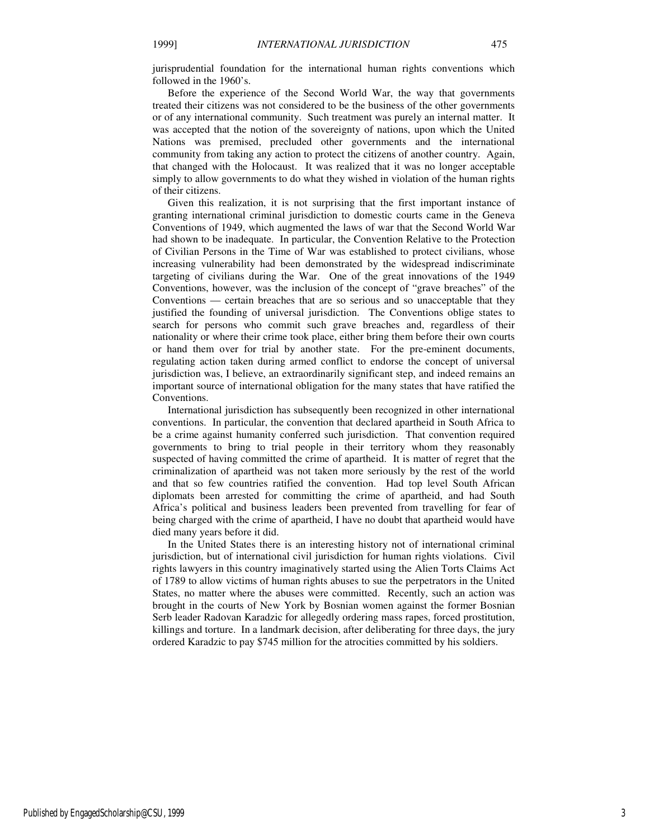Before the experience of the Second World War, the way that governments treated their citizens was not considered to be the business of the other governments or of any international community. Such treatment was purely an internal matter. It was accepted that the notion of the sovereignty of nations, upon which the United Nations was premised, precluded other governments and the international community from taking any action to protect the citizens of another country. Again, that changed with the Holocaust. It was realized that it was no longer acceptable simply to allow governments to do what they wished in violation of the human rights of their citizens.

Given this realization, it is not surprising that the first important instance of granting international criminal jurisdiction to domestic courts came in the Geneva Conventions of 1949, which augmented the laws of war that the Second World War had shown to be inadequate. In particular, the Convention Relative to the Protection of Civilian Persons in the Time of War was established to protect civilians, whose increasing vulnerability had been demonstrated by the widespread indiscriminate targeting of civilians during the War. One of the great innovations of the 1949 Conventions, however, was the inclusion of the concept of "grave breaches" of the Conventions — certain breaches that are so serious and so unacceptable that they justified the founding of universal jurisdiction. The Conventions oblige states to search for persons who commit such grave breaches and, regardless of their nationality or where their crime took place, either bring them before their own courts or hand them over for trial by another state. For the pre-eminent documents, regulating action taken during armed conflict to endorse the concept of universal jurisdiction was, I believe, an extraordinarily significant step, and indeed remains an important source of international obligation for the many states that have ratified the Conventions.

International jurisdiction has subsequently been recognized in other international conventions. In particular, the convention that declared apartheid in South Africa to be a crime against humanity conferred such jurisdiction. That convention required governments to bring to trial people in their territory whom they reasonably suspected of having committed the crime of apartheid. It is matter of regret that the criminalization of apartheid was not taken more seriously by the rest of the world and that so few countries ratified the convention. Had top level South African diplomats been arrested for committing the crime of apartheid, and had South Africa's political and business leaders been prevented from travelling for fear of being charged with the crime of apartheid, I have no doubt that apartheid would have died many years before it did.

In the United States there is an interesting history not of international criminal jurisdiction, but of international civil jurisdiction for human rights violations. Civil rights lawyers in this country imaginatively started using the Alien Torts Claims Act of 1789 to allow victims of human rights abuses to sue the perpetrators in the United States, no matter where the abuses were committed. Recently, such an action was brought in the courts of New York by Bosnian women against the former Bosnian Serb leader Radovan Karadzic for allegedly ordering mass rapes, forced prostitution, killings and torture. In a landmark decision, after deliberating for three days, the jury ordered Karadzic to pay \$745 million for the atrocities committed by his soldiers.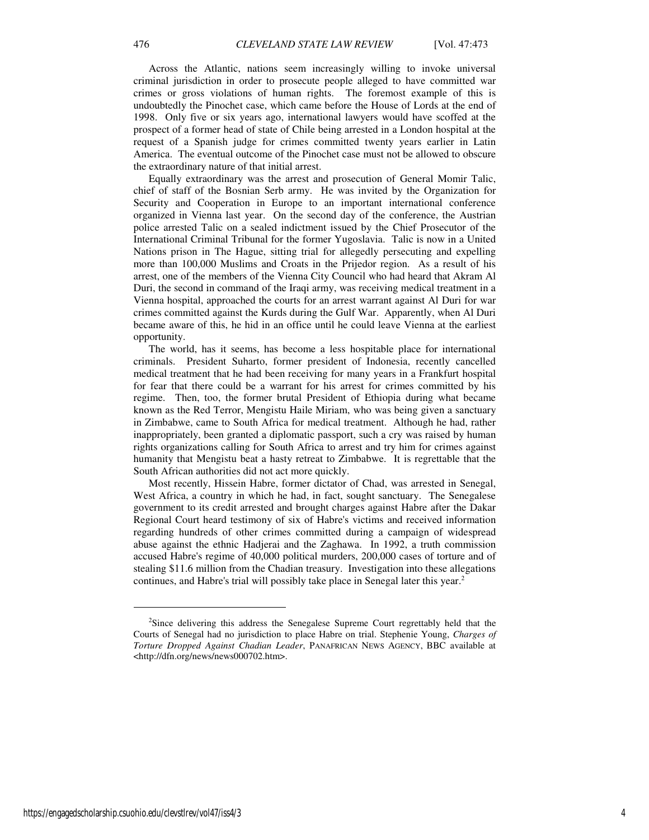Across the Atlantic, nations seem increasingly willing to invoke universal criminal jurisdiction in order to prosecute people alleged to have committed war crimes or gross violations of human rights. The foremost example of this is undoubtedly the Pinochet case, which came before the House of Lords at the end of 1998. Only five or six years ago, international lawyers would have scoffed at the prospect of a former head of state of Chile being arrested in a London hospital at the request of a Spanish judge for crimes committed twenty years earlier in Latin America. The eventual outcome of the Pinochet case must not be allowed to obscure the extraordinary nature of that initial arrest.

Equally extraordinary was the arrest and prosecution of General Momir Talic, chief of staff of the Bosnian Serb army. He was invited by the Organization for Security and Cooperation in Europe to an important international conference organized in Vienna last year. On the second day of the conference, the Austrian police arrested Talic on a sealed indictment issued by the Chief Prosecutor of the International Criminal Tribunal for the former Yugoslavia. Talic is now in a United Nations prison in The Hague, sitting trial for allegedly persecuting and expelling more than 100,000 Muslims and Croats in the Prijedor region. As a result of his arrest, one of the members of the Vienna City Council who had heard that Akram Al Duri, the second in command of the Iraqi army, was receiving medical treatment in a Vienna hospital, approached the courts for an arrest warrant against Al Duri for war crimes committed against the Kurds during the Gulf War. Apparently, when Al Duri became aware of this, he hid in an office until he could leave Vienna at the earliest opportunity.

The world, has it seems, has become a less hospitable place for international criminals. President Suharto, former president of Indonesia, recently cancelled medical treatment that he had been receiving for many years in a Frankfurt hospital for fear that there could be a warrant for his arrest for crimes committed by his regime. Then, too, the former brutal President of Ethiopia during what became known as the Red Terror, Mengistu Haile Miriam, who was being given a sanctuary in Zimbabwe, came to South Africa for medical treatment. Although he had, rather inappropriately, been granted a diplomatic passport, such a cry was raised by human rights organizations calling for South Africa to arrest and try him for crimes against humanity that Mengistu beat a hasty retreat to Zimbabwe. It is regrettable that the South African authorities did not act more quickly.

Most recently, Hissein Habre, former dictator of Chad, was arrested in Senegal, West Africa, a country in which he had, in fact, sought sanctuary. The Senegalese government to its credit arrested and brought charges against Habre after the Dakar Regional Court heard testimony of six of Habre's victims and received information regarding hundreds of other crimes committed during a campaign of widespread abuse against the ethnic Hadjerai and the Zaghawa. In 1992, a truth commission accused Habre's regime of 40,000 political murders, 200,000 cases of torture and of stealing \$11.6 million from the Chadian treasury. Investigation into these allegations continues, and Habre's trial will possibly take place in Senegal later this year.<sup>2</sup>

j

<sup>&</sup>lt;sup>2</sup>Since delivering this address the Senegalese Supreme Court regrettably held that the Courts of Senegal had no jurisdiction to place Habre on trial. Stephenie Young, *Charges of Torture Dropped Against Chadian Leader*, PANAFRICAN NEWS AGENCY, BBC available at <http://dfn.org/news/news000702.htm>.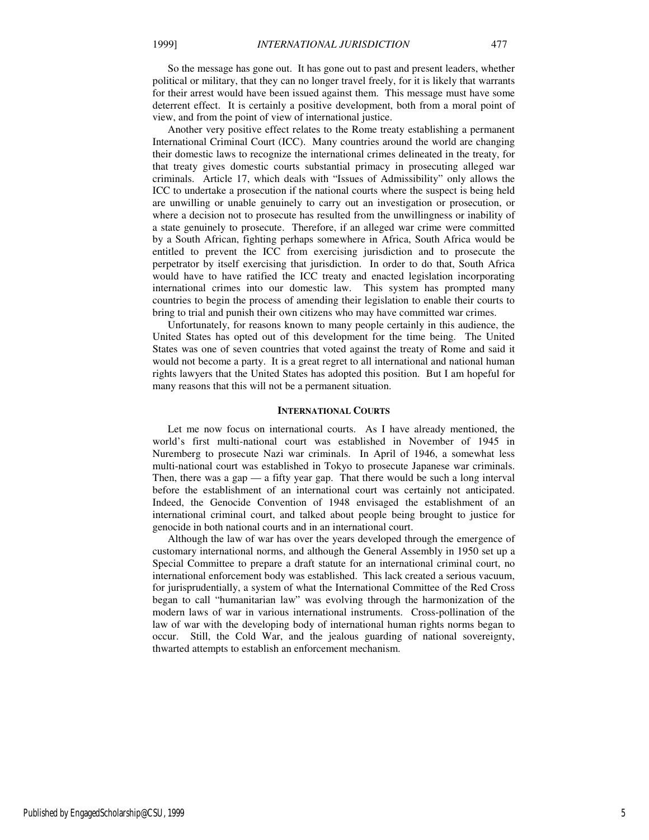So the message has gone out. It has gone out to past and present leaders, whether political or military, that they can no longer travel freely, for it is likely that warrants for their arrest would have been issued against them. This message must have some deterrent effect. It is certainly a positive development, both from a moral point of view, and from the point of view of international justice.

Another very positive effect relates to the Rome treaty establishing a permanent International Criminal Court (ICC). Many countries around the world are changing their domestic laws to recognize the international crimes delineated in the treaty, for that treaty gives domestic courts substantial primacy in prosecuting alleged war criminals. Article 17, which deals with "Issues of Admissibility" only allows the ICC to undertake a prosecution if the national courts where the suspect is being held are unwilling or unable genuinely to carry out an investigation or prosecution, or where a decision not to prosecute has resulted from the unwillingness or inability of a state genuinely to prosecute. Therefore, if an alleged war crime were committed by a South African, fighting perhaps somewhere in Africa, South Africa would be entitled to prevent the ICC from exercising jurisdiction and to prosecute the perpetrator by itself exercising that jurisdiction. In order to do that, South Africa would have to have ratified the ICC treaty and enacted legislation incorporating international crimes into our domestic law. This system has prompted many countries to begin the process of amending their legislation to enable their courts to bring to trial and punish their own citizens who may have committed war crimes.

Unfortunately, for reasons known to many people certainly in this audience, the United States has opted out of this development for the time being. The United States was one of seven countries that voted against the treaty of Rome and said it would not become a party. It is a great regret to all international and national human rights lawyers that the United States has adopted this position. But I am hopeful for many reasons that this will not be a permanent situation.

#### **INTERNATIONAL COURTS**

Let me now focus on international courts. As I have already mentioned, the world's first multi-national court was established in November of 1945 in Nuremberg to prosecute Nazi war criminals. In April of 1946, a somewhat less multi-national court was established in Tokyo to prosecute Japanese war criminals. Then, there was a gap  $\frac{1}{2}$  a fifty year gap. That there would be such a long interval before the establishment of an international court was certainly not anticipated. Indeed, the Genocide Convention of 1948 envisaged the establishment of an international criminal court, and talked about people being brought to justice for genocide in both national courts and in an international court.

Although the law of war has over the years developed through the emergence of customary international norms, and although the General Assembly in 1950 set up a Special Committee to prepare a draft statute for an international criminal court, no international enforcement body was established. This lack created a serious vacuum, for jurisprudentially, a system of what the International Committee of the Red Cross began to call "humanitarian law" was evolving through the harmonization of the modern laws of war in various international instruments. Cross-pollination of the law of war with the developing body of international human rights norms began to occur. Still, the Cold War, and the jealous guarding of national sovereignty, thwarted attempts to establish an enforcement mechanism.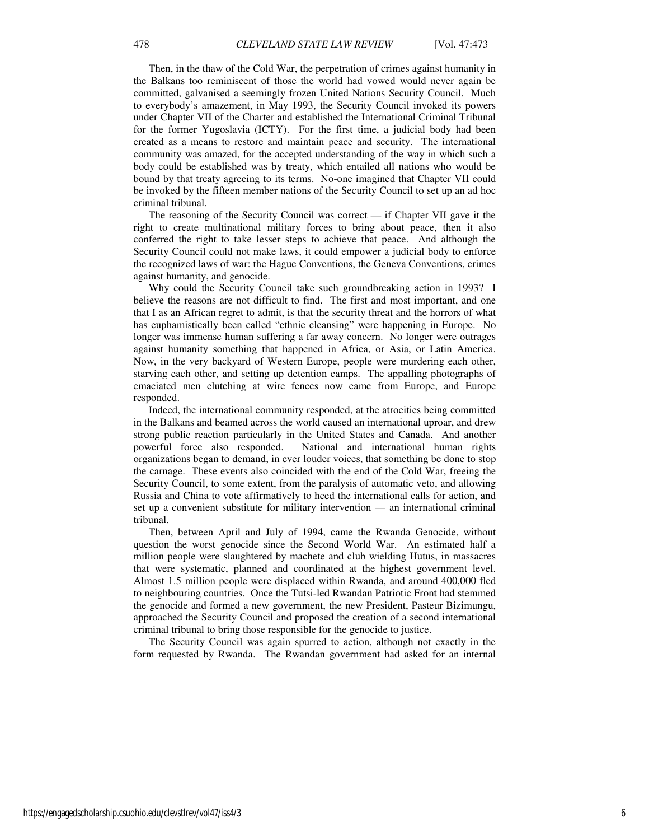Then, in the thaw of the Cold War, the perpetration of crimes against humanity in the Balkans too reminiscent of those the world had vowed would never again be committed, galvanised a seemingly frozen United Nations Security Council. Much to everybody's amazement, in May 1993, the Security Council invoked its powers under Chapter VII of the Charter and established the International Criminal Tribunal for the former Yugoslavia (ICTY). For the first time, a judicial body had been created as a means to restore and maintain peace and security. The international community was amazed, for the accepted understanding of the way in which such a body could be established was by treaty, which entailed all nations who would be bound by that treaty agreeing to its terms. No-one imagined that Chapter VII could be invoked by the fifteen member nations of the Security Council to set up an ad hoc criminal tribunal.

The reasoning of the Security Council was correct — if Chapter VII gave it the right to create multinational military forces to bring about peace, then it also conferred the right to take lesser steps to achieve that peace. And although the Security Council could not make laws, it could empower a judicial body to enforce the recognized laws of war: the Hague Conventions, the Geneva Conventions, crimes against humanity, and genocide.

Why could the Security Council take such groundbreaking action in 1993? I believe the reasons are not difficult to find. The first and most important, and one that I as an African regret to admit, is that the security threat and the horrors of what has euphamistically been called "ethnic cleansing" were happening in Europe. No longer was immense human suffering a far away concern. No longer were outrages against humanity something that happened in Africa, or Asia, or Latin America. Now, in the very backyard of Western Europe, people were murdering each other, starving each other, and setting up detention camps. The appalling photographs of emaciated men clutching at wire fences now came from Europe, and Europe responded.

Indeed, the international community responded, at the atrocities being committed in the Balkans and beamed across the world caused an international uproar, and drew strong public reaction particularly in the United States and Canada. And another powerful force also responded. National and international human rights organizations began to demand, in ever louder voices, that something be done to stop the carnage. These events also coincided with the end of the Cold War, freeing the Security Council, to some extent, from the paralysis of automatic veto, and allowing Russia and China to vote affirmatively to heed the international calls for action, and set up a convenient substitute for military intervention — an international criminal tribunal.

Then, between April and July of 1994, came the Rwanda Genocide, without question the worst genocide since the Second World War. An estimated half a million people were slaughtered by machete and club wielding Hutus, in massacres that were systematic, planned and coordinated at the highest government level. Almost 1.5 million people were displaced within Rwanda, and around 400,000 fled to neighbouring countries. Once the Tutsi-led Rwandan Patriotic Front had stemmed the genocide and formed a new government, the new President, Pasteur Bizimungu, approached the Security Council and proposed the creation of a second international criminal tribunal to bring those responsible for the genocide to justice.

The Security Council was again spurred to action, although not exactly in the form requested by Rwanda. The Rwandan government had asked for an internal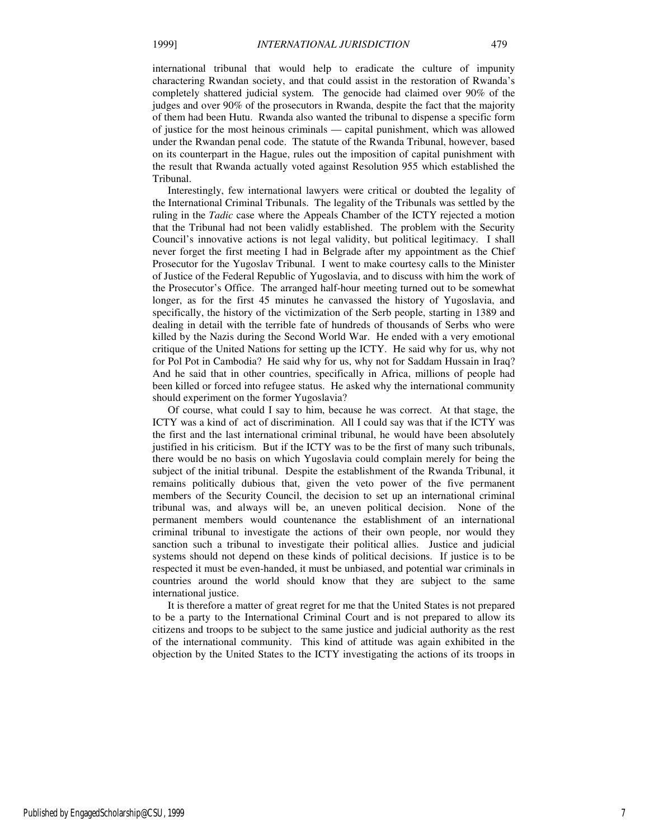international tribunal that would help to eradicate the culture of impunity charactering Rwandan society, and that could assist in the restoration of Rwanda's completely shattered judicial system. The genocide had claimed over 90% of the judges and over 90% of the prosecutors in Rwanda, despite the fact that the majority of them had been Hutu. Rwanda also wanted the tribunal to dispense a specific form of justice for the most heinous criminals — capital punishment, which was allowed under the Rwandan penal code. The statute of the Rwanda Tribunal, however, based on its counterpart in the Hague, rules out the imposition of capital punishment with the result that Rwanda actually voted against Resolution 955 which established the Tribunal.

Interestingly, few international lawyers were critical or doubted the legality of the International Criminal Tribunals. The legality of the Tribunals was settled by the ruling in the *Tadic* case where the Appeals Chamber of the ICTY rejected a motion that the Tribunal had not been validly established. The problem with the Security Council's innovative actions is not legal validity, but political legitimacy. I shall never forget the first meeting I had in Belgrade after my appointment as the Chief Prosecutor for the Yugoslav Tribunal. I went to make courtesy calls to the Minister of Justice of the Federal Republic of Yugoslavia, and to discuss with him the work of the Prosecutor's Office. The arranged half-hour meeting turned out to be somewhat longer, as for the first 45 minutes he canvassed the history of Yugoslavia, and specifically, the history of the victimization of the Serb people, starting in 1389 and dealing in detail with the terrible fate of hundreds of thousands of Serbs who were killed by the Nazis during the Second World War. He ended with a very emotional critique of the United Nations for setting up the ICTY. He said why for us, why not for Pol Pot in Cambodia? He said why for us, why not for Saddam Hussain in Iraq? And he said that in other countries, specifically in Africa, millions of people had been killed or forced into refugee status. He asked why the international community should experiment on the former Yugoslavia?

Of course, what could I say to him, because he was correct. At that stage, the ICTY was a kind of act of discrimination. All I could say was that if the ICTY was the first and the last international criminal tribunal, he would have been absolutely justified in his criticism. But if the ICTY was to be the first of many such tribunals, there would be no basis on which Yugoslavia could complain merely for being the subject of the initial tribunal. Despite the establishment of the Rwanda Tribunal, it remains politically dubious that, given the veto power of the five permanent members of the Security Council, the decision to set up an international criminal tribunal was, and always will be, an uneven political decision. None of the permanent members would countenance the establishment of an international criminal tribunal to investigate the actions of their own people, nor would they sanction such a tribunal to investigate their political allies. Justice and judicial systems should not depend on these kinds of political decisions. If justice is to be respected it must be even-handed, it must be unbiased, and potential war criminals in countries around the world should know that they are subject to the same international justice.

It is therefore a matter of great regret for me that the United States is not prepared to be a party to the International Criminal Court and is not prepared to allow its citizens and troops to be subject to the same justice and judicial authority as the rest of the international community. This kind of attitude was again exhibited in the objection by the United States to the ICTY investigating the actions of its troops in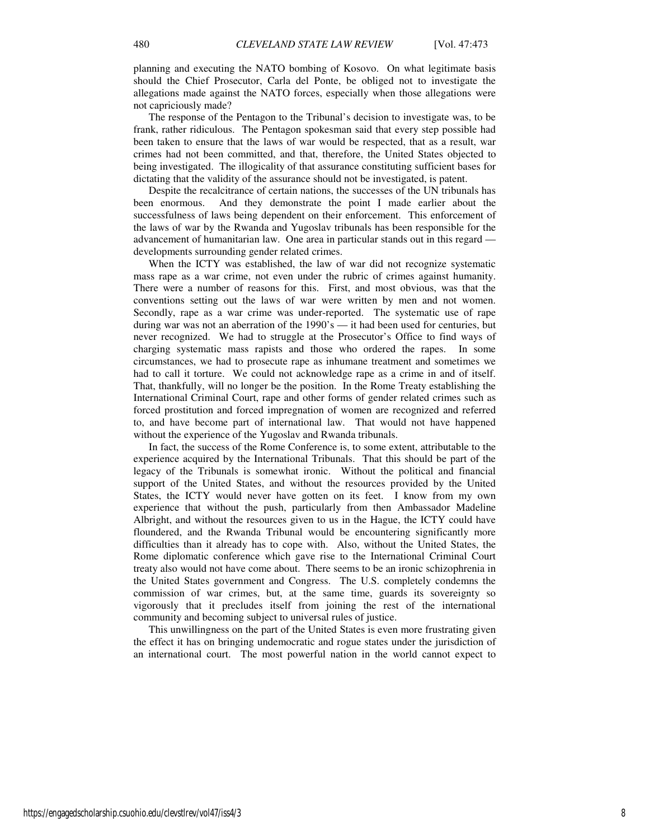planning and executing the NATO bombing of Kosovo. On what legitimate basis should the Chief Prosecutor, Carla del Ponte, be obliged not to investigate the allegations made against the NATO forces, especially when those allegations were not capriciously made?

The response of the Pentagon to the Tribunal's decision to investigate was, to be frank, rather ridiculous. The Pentagon spokesman said that every step possible had been taken to ensure that the laws of war would be respected, that as a result, war crimes had not been committed, and that, therefore, the United States objected to being investigated. The illogicality of that assurance constituting sufficient bases for dictating that the validity of the assurance should not be investigated, is patent.

Despite the recalcitrance of certain nations, the successes of the UN tribunals has been enormous. And they demonstrate the point I made earlier about the successfulness of laws being dependent on their enforcement. This enforcement of the laws of war by the Rwanda and Yugoslav tribunals has been responsible for the advancement of humanitarian law. One area in particular stands out in this regard developments surrounding gender related crimes.

When the ICTY was established, the law of war did not recognize systematic mass rape as a war crime, not even under the rubric of crimes against humanity. There were a number of reasons for this. First, and most obvious, was that the conventions setting out the laws of war were written by men and not women. Secondly, rape as a war crime was under-reported. The systematic use of rape during war was not an aberration of the 1990's — it had been used for centuries, but never recognized. We had to struggle at the Prosecutor's Office to find ways of charging systematic mass rapists and those who ordered the rapes. In some circumstances, we had to prosecute rape as inhumane treatment and sometimes we had to call it torture. We could not acknowledge rape as a crime in and of itself. That, thankfully, will no longer be the position. In the Rome Treaty establishing the International Criminal Court, rape and other forms of gender related crimes such as forced prostitution and forced impregnation of women are recognized and referred to, and have become part of international law. That would not have happened without the experience of the Yugoslav and Rwanda tribunals.

In fact, the success of the Rome Conference is, to some extent, attributable to the experience acquired by the International Tribunals. That this should be part of the legacy of the Tribunals is somewhat ironic. Without the political and financial support of the United States, and without the resources provided by the United States, the ICTY would never have gotten on its feet. I know from my own experience that without the push, particularly from then Ambassador Madeline Albright, and without the resources given to us in the Hague, the ICTY could have floundered, and the Rwanda Tribunal would be encountering significantly more difficulties than it already has to cope with. Also, without the United States, the Rome diplomatic conference which gave rise to the International Criminal Court treaty also would not have come about. There seems to be an ironic schizophrenia in the United States government and Congress. The U.S. completely condemns the commission of war crimes, but, at the same time, guards its sovereignty so vigorously that it precludes itself from joining the rest of the international community and becoming subject to universal rules of justice.

This unwillingness on the part of the United States is even more frustrating given the effect it has on bringing undemocratic and rogue states under the jurisdiction of an international court. The most powerful nation in the world cannot expect to